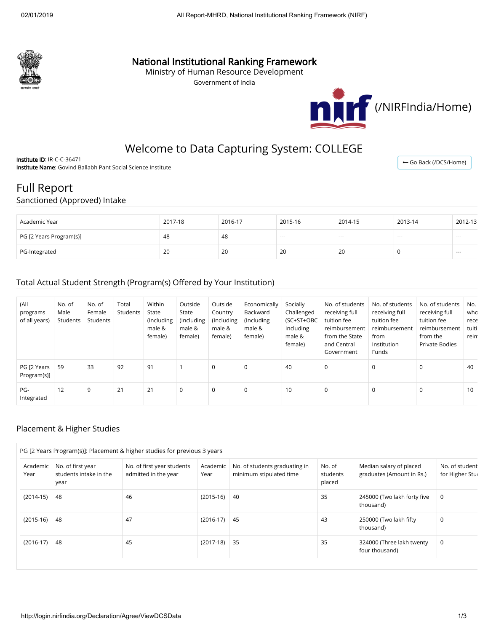

### National Institutional Ranking Framework

Ministry of Human Resource Development

Government of India



## Welcome to Data Capturing System: COLLEGE

Institute ID: IR-C-C-36471 Institute Name: Govind Ballabh Pant Social Science Institute

← [Go Back \(/DCS/Home\)](http://login.nirfindia.org/DCS/Home)

# Full Report

#### Sanctioned (Approved) Intake

| Academic Year           | 2017-18 | 2016-17 | 2015-16 | 2014-15 | 2013-14 | 2012-13  |
|-------------------------|---------|---------|---------|---------|---------|----------|
| PG [2 Years Program(s)] | 48      | 48      | $- - -$ | ---     | ---     | $- - -$  |
| PG-Integrated           | 20      | 20      | 20      | 20      |         | $\cdots$ |

#### Total Actual Student Strength (Program(s) Offered by Your Institution)

| (All<br>programs<br>of all years) | No. of<br>Male<br>Students | No. of<br>Female<br>Students | Total<br>Students | Within<br>State<br>(Including<br>male &<br>female) | Outside<br>State<br>(Including<br>male &<br>female) | Outside<br>Country<br>(Including<br>male &<br>female) | Economically<br>Backward<br>(Including<br>male &<br>female) | Socially<br>Challenged<br>(SC+ST+OBC<br>Including<br>male &<br>female) | No. of students<br>receiving full<br>tuition fee<br>reimbursement<br>from the State<br>and Central<br>Government | No. of students<br>receiving full<br>tuition fee<br>reimbursement<br>from<br>Institution<br>Funds | No. of students<br>receiving full<br>tuition fee<br>reimbursement<br>from the<br>Private Bodies | No.<br>who<br>rece<br>tuiti<br>reim |
|-----------------------------------|----------------------------|------------------------------|-------------------|----------------------------------------------------|-----------------------------------------------------|-------------------------------------------------------|-------------------------------------------------------------|------------------------------------------------------------------------|------------------------------------------------------------------------------------------------------------------|---------------------------------------------------------------------------------------------------|-------------------------------------------------------------------------------------------------|-------------------------------------|
| PG [2 Years<br>Program(s)]        | 59                         | 33                           | 92                | 91                                                 |                                                     | $\mathbf 0$                                           | $\mathbf 0$                                                 | 40                                                                     | 0                                                                                                                | $\Omega$                                                                                          | 0                                                                                               | 40                                  |
| PG-<br>Integrated                 | 12                         | 9                            | 21                | 21                                                 | 0                                                   | $\mathbf 0$                                           | $\mathbf 0$                                                 | 10                                                                     | 0                                                                                                                | 0                                                                                                 | 0                                                                                               | 10                                  |

#### Placement & Higher Studies

| Academic<br>Year | No. of first year<br>students intake in the<br>year | No. of first year students<br>admitted in the year | Academic<br>Year | No. of students graduating in<br>minimum stipulated time | No. of<br>students<br>placed | Median salary of placed<br>graduates (Amount in Rs.) | No. of student<br>for Higher Stur |
|------------------|-----------------------------------------------------|----------------------------------------------------|------------------|----------------------------------------------------------|------------------------------|------------------------------------------------------|-----------------------------------|
| $(2014-15)$      | 48                                                  | 46                                                 | $(2015-16)$      | 40                                                       | 35                           | 245000 (Two lakh forty five<br>thousand)             | 0                                 |
| $(2015-16)$      | 48                                                  | 47                                                 | $(2016-17)$      | 45                                                       | 43                           | 250000 (Two lakh fifty<br>thousand)                  | 0                                 |
| $(2016-17)$      | -48                                                 | 45                                                 | $(2017-18)$      | 35                                                       | 35                           | 324000 (Three lakh twenty<br>four thousand)          | 0                                 |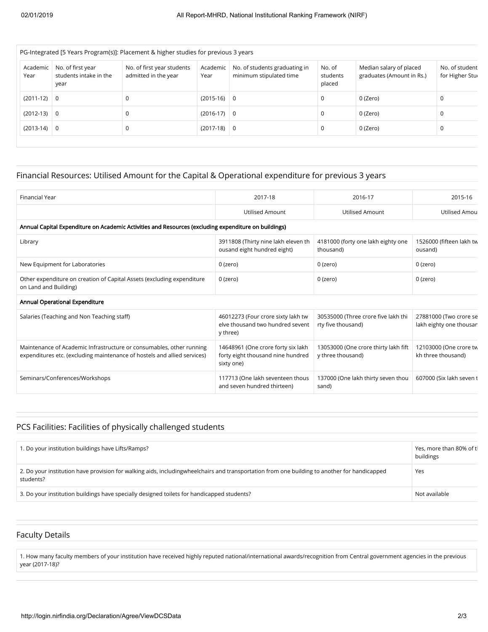| No. of first year<br>students intake in the<br>year | No. of first year students<br>admitted in the year | Academic<br>Year | No. of students graduating in<br>minimum stipulated time | No. of<br>students<br>placed                    | Median salary of placed<br>graduates (Amount in Rs.) | No. of student<br>for Higher Stur |
|-----------------------------------------------------|----------------------------------------------------|------------------|----------------------------------------------------------|-------------------------------------------------|------------------------------------------------------|-----------------------------------|
| $(2011-12)$ 0                                       |                                                    |                  |                                                          | 0                                               | 0 (Zero)                                             |                                   |
| $(2012-13)$ 0                                       | 0                                                  |                  |                                                          | 0                                               | 0 (Zero)                                             | <sup>-</sup>                      |
| 0                                                   | 0                                                  |                  |                                                          | 0                                               | 0 (Zero)                                             | J                                 |
|                                                     |                                                    |                  |                                                          | $(2015-16)$ 0<br>$(2016-17)$ 0<br>$(2017-18)$ 0 |                                                      |                                   |

### Financial Resources: Utilised Amount for the Capital & Operational expenditure for previous 3 years

| <b>Financial Year</b>                                                                                                                            | 2017-18                                                                               | 2016-17                                                   | 2015-16                                           |  |  |  |  |  |  |
|--------------------------------------------------------------------------------------------------------------------------------------------------|---------------------------------------------------------------------------------------|-----------------------------------------------------------|---------------------------------------------------|--|--|--|--|--|--|
|                                                                                                                                                  | <b>Utilised Amount</b>                                                                | Utilised Amount                                           | Utilised Amou                                     |  |  |  |  |  |  |
| Annual Capital Expenditure on Academic Activities and Resources (excluding expenditure on buildings)                                             |                                                                                       |                                                           |                                                   |  |  |  |  |  |  |
| Library                                                                                                                                          | 3911808 (Thirty nine lakh eleven th<br>ousand eight hundred eight)                    | 4181000 (forty one lakh eighty one<br>thousand)           | 1526000 (fifteen lakh tw<br>ousand)               |  |  |  |  |  |  |
| New Equipment for Laboratories                                                                                                                   | $0$ (zero)                                                                            | 0 (zero)                                                  | 0 (zero)                                          |  |  |  |  |  |  |
| Other expenditure on creation of Capital Assets (excluding expenditure<br>on Land and Building)                                                  | 0 (zero)                                                                              | 0 (zero)                                                  | 0 (zero)                                          |  |  |  |  |  |  |
| Annual Operational Expenditure                                                                                                                   |                                                                                       |                                                           |                                                   |  |  |  |  |  |  |
| Salaries (Teaching and Non Teaching staff)                                                                                                       | 46012273 (Four crore sixty lakh tw<br>elve thousand two hundred sevent<br>y three)    | 30535000 (Three crore five lakh thi<br>rty five thousand) | 27881000 (Two crore se<br>lakh eighty one thousan |  |  |  |  |  |  |
| Maintenance of Academic Infrastructure or consumables, other running<br>expenditures etc. (excluding maintenance of hostels and allied services) | 14648961 (One crore forty six lakh<br>forty eight thousand nine hundred<br>sixty one) | 13053000 (One crore thirty lakh fift<br>y three thousand) | 12103000 (One crore tw<br>kh three thousand)      |  |  |  |  |  |  |
| Seminars/Conferences/Workshops                                                                                                                   | 117713 (One lakh seventeen thous<br>and seven hundred thirteen)                       | 137000 (One lakh thirty seven thou<br>sand)               | 607000 (Six lakh seven t                          |  |  |  |  |  |  |

#### PCS Facilities: Facilities of physically challenged students

| 1. Do your institution buildings have Lifts/Ramps?                                                                                                          | Yes, more than 80% of tl<br>buildings |
|-------------------------------------------------------------------------------------------------------------------------------------------------------------|---------------------------------------|
| 2. Do your institution have provision for walking aids, including wheel chairs and transportation from one building to another for handicapped<br>students? | Yes                                   |
| 3. Do your institution buildings have specially designed toilets for handicapped students?                                                                  | Not available                         |

#### Faculty Details

1. How many faculty members of your institution have received highly reputed national/international awards/recognition from Central government agencies in the previous year (2017-18)?